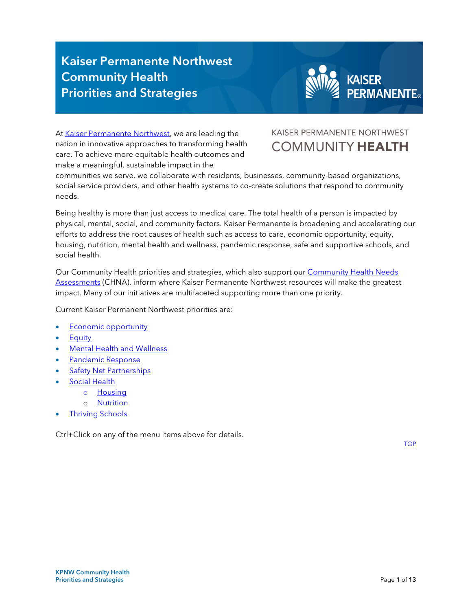# Kaiser Permanente Northwest Community Health Priorities and Strategies



<span id="page-0-0"></span>A[t Kaiser Permanente Northwest,](https://about.kaiserpermanente.org/community-health/communities-we-serve/northwest-community/priorities-and-strategies/oral-health) we are leading the nation in innovative approaches to transforming health care. To achieve more equitable health outcomes and make a meaningful, sustainable impact in the

### KAISER PERMANENTE NORTHWEST **[COMMUNITY HEALTH](https://about.kaiserpermanente.org/community-health/communities-we-serve/northwest-community/our-impact/community-health-annual-report)**

communities we serve, we collaborate with residents, businesses, community-based organizations, social service providers, and other health systems to co-create solutions that respond to community needs.

Being healthy is more than just access to medical care. The total health of a person is impacted by physical, mental, social, and community factors. Kaiser Permanente is broadening and accelerating our efforts to address the root causes of health such as access to care, economic opportunity, equity, housing, nutrition, mental health and wellness, pandemic response, safe and supportive schools, and social health.

Our Community Health priorities and strategies, which also support our <u>Community Health Needs</u> impact. Many of our initiatives are multifaceted supporting more than one priority. [Assessments](https://about.kaiserpermanente.org/community-health/communities-we-serve/northwest-community/our-impact/community-health-needs-assessment) (CHNA), inform where Kaiser Permanente Northwest resources will make the greatest

Current Kaiser Permanent Northwest priorities are:

- **Economic opportunity**
- **Equity**
- Mental [Health and](#page-2-1) Wellness
- Pandemic [Response](#page-5-0)
- **Safety Net Partnerships**
- **Social Health** 
	- o [Housing](#page-9-0) 
		- o [Nutrition](#page-9-1)
- [Thriving Schools](#page-12-0)

Ctrl+Click on any of the menu items above for details.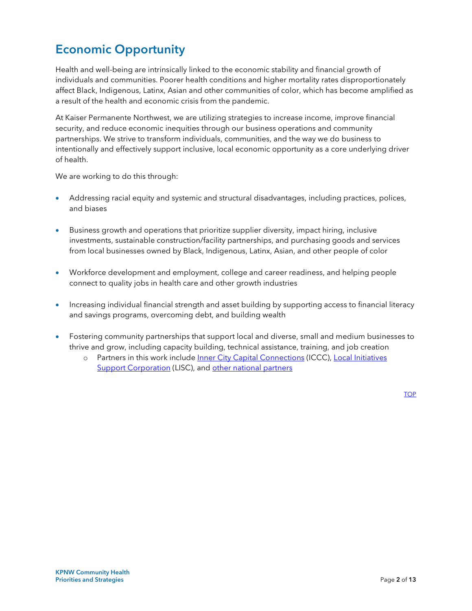# <span id="page-1-0"></span>Economic Opportunity

 individuals and communities. Poorer health conditions and higher mortality rates disproportionately affect Black, Indigenous, Latinx, Asian and other communities of color, which has become amplified as a result of the health and economic crisis from the pandemic. Health and well-being are intrinsically linked to the economic stability and financial growth of

At Kaiser Permanente Northwest, we are utilizing strategies to increase income, improve financial security, and reduce economic inequities through our business operations and community partnerships. We strive to transform individuals, communities, and the way we do business to intentionally and effectively support inclusive, local economic opportunity as a core underlying driver of health.

We are working to do this through:

- Addressing racial equity and systemic and structural disadvantages, including practices, polices, and biases
- Business growth and operations that prioritize supplier diversity, impact hiring, inclusive investments, sustainable construction/facility partnerships, and purchasing goods and services from local businesses owned by Black, Indigenous, Latinx, Asian, and other people of color
- Workforce development and employment, college and career readiness, and helping people connect to quality jobs in health care and other growth industries
- Increasing individual financial strength and asset building by supporting access to financial literacy and savings programs, overcoming debt, and building wealth
- thrive and grow, including capacity building, technical assistance, training, and job creation • Fostering community partnerships that support local and diverse, small and medium businesses to
	- o Partners in this work include [Inner City Capital Connections](https://icic.org/urban-business-initiatives/inner-city-capital-connections/portland-or/) (ICCC), [Local Initiatives](https://www.lisc.org/)  [Support Corporation](https://www.lisc.org/) (LISC), and other national partners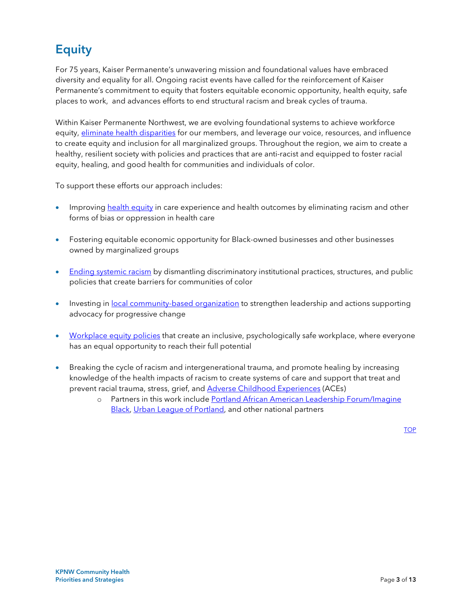# <span id="page-2-0"></span>**Equity**

 For 75 years, Kaiser Permanente's unwavering mission and foundational values have embraced diversity and equality for all. Ongoing racist events have called for the reinforcement of Kaiser Permanente's commitment to equity that fosters equitable economic opportunity, health equity, safe places to work, and advances efforts to end structural racism and break cycles of trauma.

equity, healing, and good health for communities and individuals of color.<br>To support these efforts our approach includes: Within Kaiser Permanente Northwest, we are evolving foundational systems to achieve workforce equity, [eliminate health disparities](https://about.kaiserpermanente.org/community-health/news/pandemic-highlights-urgent-need-for-equity-in-health-care) for our members, and leverage our voice, resources, and influence to create equity and inclusion for all marginalized groups. Throughout the region, we aim to create a healthy, resilient society with policies and practices that are anti-racist and equipped to foster racial

- Improving [health equity](https://about.kaiserpermanente.org/our-story/news/announcements/kaiser-permanente-takes-new-actions-to-fight-racism-and-promote-) in care experience and health outcomes by eliminating racism and other forms of bias or oppression in health care
- Fostering equitable economic opportunity for Black-owned businesses and other businesses owned by marginalized groups
- [Ending systemic racism](https://about.kaiserpermanente.org/community-health/news/committing-8-million-for-racial-equity) by dismantling discriminatory institutional practices, structures, and public policies that create barriers for communities of color
- Investing in [local community-based organization t](https://about.kaiserpermanente.org/community-health/news/fighting-racism-through-economic-opportunity)o strengthen leadership and actions supporting advocacy for progressive change
- [Workplace equity policies](https://www.kaiserpermanentejobs.org/diversity-and-inclusion/) that create an inclusive, psychologically safe workplace, where everyone has an equal opportunity to reach their full potential
- <span id="page-2-1"></span> knowledge of the health impacts of racism to create systems of care and support that treat and prevent racial trauma, stress, grief, and <u>Adverse Childhood Experiences</u> (ACEs) • Breaking the cycle of racism and intergenerational trauma, and promote healing by increasing
	- [Black,](https://www.imagineblack.org/) Urban [League of Portland,](https://ulpdx.org/) and other national partners o Partners in this work include [Portland African American Leadership Forum/Imagine](https://www.imagineblack.org/)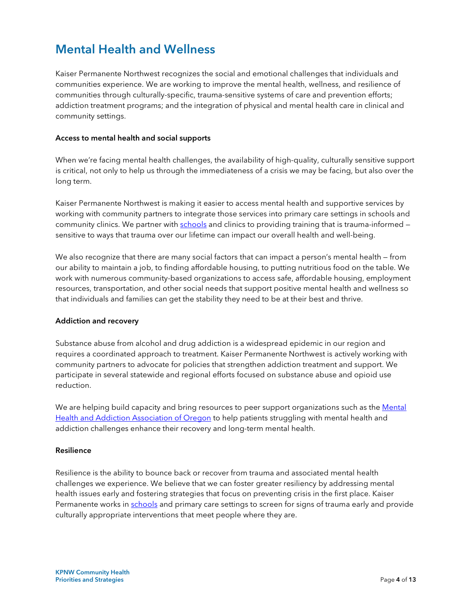# Mental Health and Wellness

 communities through culturally-specific, trauma-sensitive systems of care and prevention efforts; Kaiser Permanente Northwest recognizes the social and emotional challenges that individuals and communities experience. We are working to improve the mental health, wellness, and resilience of addiction treatment programs; and the integration of physical and mental health care in clinical and community settings.

### Access to mental health and social supports

When we're facing mental health challenges, the availability of high-quality, culturally sensitive support is critical, not only to help us through the immediateness of a crisis we may be facing, but also over the long term.

Kaiser Permanente Northwest is making it easier to access mental health and supportive services by working with community partners to integrate those services into primary care settings in schools and community clinics. We partner with [schools](https://thrivingschools.kaiserpermanente.org/) and clinics to providing training that is trauma-informed – sensitive to ways that trauma over our lifetime can impact our overall health and well-being.

 resources, transportation, and other social needs that support positive mental health and wellness so that individuals and families can get the stability they need to be at their best and thrive. We also recognize that there are many social factors that can impact a person's mental health – from our ability to maintain a job, to finding affordable housing, to putting nutritious food on the table. We work with numerous community-based organizations to access safe, affordable housing, employment

#### Addiction and recovery

Substance abuse from alcohol and drug addiction is a widespread epidemic in our region and requires a coordinated approach to treatment. Kaiser Permanente Northwest is actively working with community partners to advocate for policies that strengthen addiction treatment and support. We participate in several statewide and regional efforts focused on substance abuse and opioid use reduction.

We are helping build capacity and bring resources to peer support organizations such as the Mental [Health and Addiction Association of Oregon](https://www.mhaoforegon.org/) to help patients struggling with mental health and addiction challenges enhance their recovery and long-term mental health.

#### Resilience

 Resilience is the ability to bounce back or recover from trauma and associated mental health Permanente works in [schools a](https://thrivingschools.kaiserpermanente.org/)nd primary care settings to screen for signs of trauma early and provide culturally appropriate interventions that meet people where they are. challenges we experience. We believe that we can foster greater resiliency by addressing mental health issues early and fostering strategies that focus on preventing crisis in the first place. Kaiser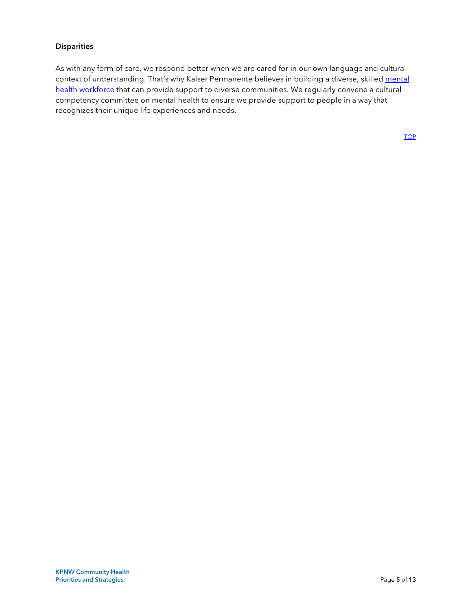### **Disparities**

 competency committee on mental health to ensure we provide support to people in a way that As with any form of care, we respond better when we are cared for in our own language and cultural context of understanding. That's why Kaiser Permanente believes in building a diverse, skilled mental [health workforce t](https://www.kaiserpermanentejobs.org/mentalhealthcareers)hat can provide support to diverse communities. We regularly convene a cultural recognizes their unique life experiences and needs.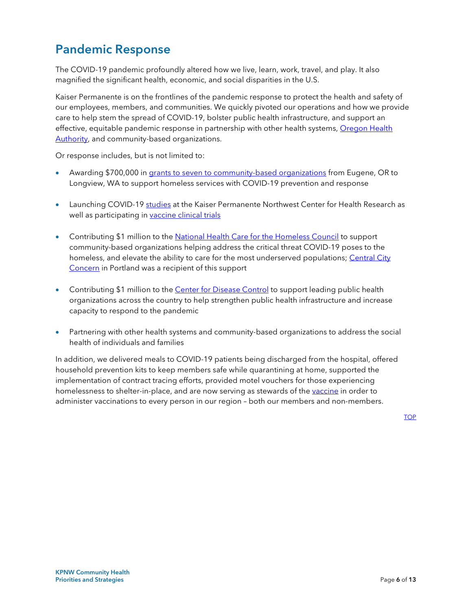# <span id="page-5-0"></span>Pandemic Response

The COVID-19 pandemic profoundly altered how we live, learn, work, travel, and play. It also magnified the significant health, economic, and social disparities in the U.S.

Kaiser Permanente is on the frontlines of the pandemic response to protect the health and safety of our employees, members, and communities. We quickly pivoted our operations and how we provide care to help stem the spread of COVID-19, bolster public health infrastructure, and support an effective, equitable pandemic response in partnership with other health systems, [Oregon Health](https://govstatus.egov.com/OR-OHA-COVID-19)  [Authority,](https://govstatus.egov.com/OR-OHA-COVID-19) and community-based organizations.

Or response includes, but is not limited to:

- Awarding \$700,000 in [grants to seven to community-based organizations f](https://about.kaiserpermanente.org/community-health/news/northwest-grants-support-homeless-services-during-covid-19)rom Eugene, OR to Longview, WA to support homeless services with COVID-19 prevention and response
- Launching COVID-19 [studies](https://research.kpchr.org/News/CHR-Stories/CHR-Rapidly-Launches-COVID-19-Studies) at the Kaiser Permanente Northwest Center for Health Research as well as participating in vaccine clinical trials
- Contributing \$1 million to the [National Health Care for the Homeless Council](https://about.kaiserpermanente.org/community-health/news/supporting-covid-19-response-for-u-s-homeless-population) to support community-based organizations helping address the critical threat COVID-19 poses to the homeless, and elevate the ability to care for the most underserved populations; Central City [Concern](https://www.centralcityconcern.org/) in Portland was a recipient of this support
- Contributing \$1 million to the <u>Center for Disease Control</u> to support leading public health capacity to respond to the pandemic organizations across the country to help strengthen public health infrastructure and increase
- Partnering with other health systems and community-based organizations to address the social health of individuals and families

 In addition, we delivered meals to COVID-19 patients being discharged from the hospital, offered homelessness to shelter-in-place, and are now serving as stewards of the <u>vaccine</u> in order to household prevention kits to keep members safe while quarantining at home, supported the implementation of contract tracing efforts, provided motel vouchers for those experiencing administer vaccinations to every person in our region – both our members and non-members.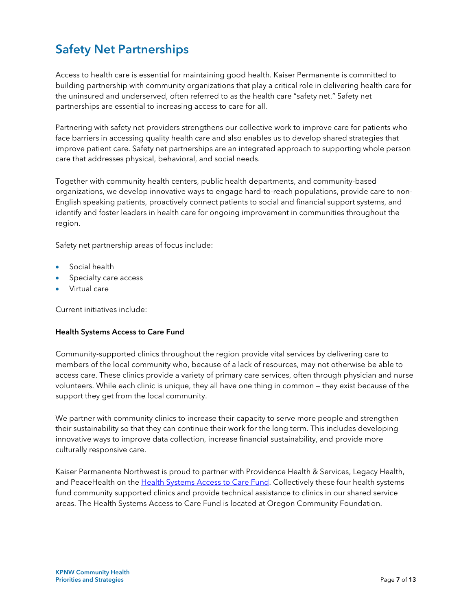# <span id="page-6-0"></span>Safety Net Partnerships

 Access to health care is essential for maintaining good health. Kaiser Permanente is committed to building partnership with community organizations that play a critical role in delivering health care for the uninsured and underserved, often referred to as the health care "safety net." Safety net partnerships are essential to increasing access to care for all.

 face barriers in accessing quality health care and also enables us to develop shared strategies that Partnering with safety net providers strengthens our collective work to improve care for patients who improve patient care. Safety net partnerships are an integrated approach to supporting whole person care that addresses physical, behavioral, and social needs.

Together with community health centers, public health departments, and community-based organizations, we develop innovative ways to engage hard-to-reach populations, provide care to non-English speaking patients, proactively connect patients to social and financial support systems, and identify and foster leaders in health care for ongoing improvement in communities throughout the region.

Safety net partnership areas of focus include:

- Social health
- Specialty care access
- Virtual care

Current initiatives include:

#### Health Systems Access to Care Fund

 Community-supported clinics throughout the region provide vital services by delivering care to members of the local community who, because of a lack of resources, may not otherwise be able to access care. These clinics provide a variety of primary care services, often through physician and nurse volunteers. While each clinic is unique, they all have one thing in common — they exist because of the support they get from the local community.

We partner with community clinics to increase their capacity to serve more people and strengthen their sustainability so that they can continue their work for the long term. This includes developing innovative ways to improve data collection, increase financial sustainability, and provide more culturally responsive care.

 Kaiser Permanente Northwest is proud to partner with Providence Health & Services, Legacy Health, and PeaceHealth on the [Health Systems Access to Care Fund.](https://oregoncf.org/grants-and-scholarships/grants/health-systems-access-to-care-fund/) Collectively these four health systems fund community supported clinics and provide technical assistance to clinics in our shared service areas. The Health Systems Access to Care Fund is located at Oregon Community Foundation.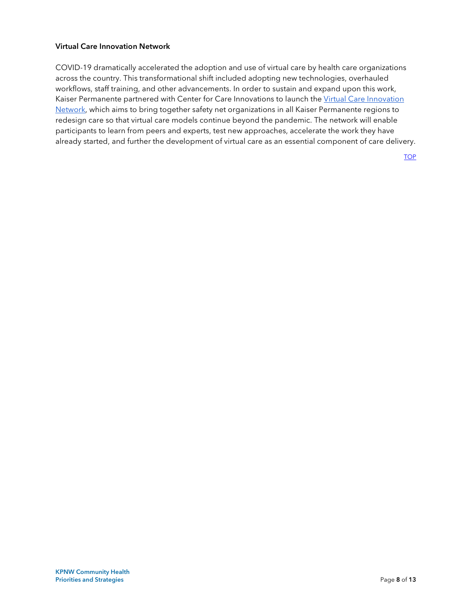### Virtual Care Innovation Network

 COVID-19 dramatically accelerated the adoption and use of virtual care by health care organizations participants to learn from peers and experts, test new approaches, accelerate the work they have already started, and further the development of virtual care as an essential component of care delivery. across the country. This transformational shift included adopting new technologies, overhauled workflows, staff training, and other advancements. In order to sustain and expand upon this work, Kaiser Permanente partnered with Center for Care Innovations to launch the [Virtual Care Innovation](https://www.careinnovations.org/programs/virtual-care-innovation-network/)  [Network,](https://www.careinnovations.org/programs/virtual-care-innovation-network/) which aims to bring together safety net organizations in all Kaiser Permanente regions to redesign care so that virtual care models continue beyond the pandemic. The network will enable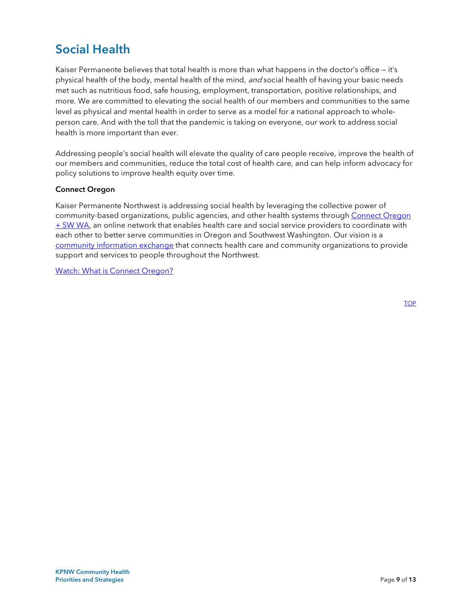# <span id="page-8-0"></span>Social Health

physical health of the body, mental health of the mind, *and* social health of having your basic needs met such as nutritious food, safe housing, employment, transportation, positive relationships, and level as physical and mental health in order to serve as a model for a national approach to wholehealth is more important than ever. Kaiser Permanente believes that total health is more than what happens in the doctor's office — it's more. We are committed to elevating the social health of our members and communities to the same person care. And with the toll that the pandemic is taking on everyone, our work to address social

Addressing people's social health will elevate the quality of care people receive, improve the health of our members and communities, reduce the total cost of health care, and can help inform advocacy for policy solutions to improve health equity over time.

### Connect Oregon

Kaiser Permanente Northwest is addressing social health by leveraging the collective power of community-based organizations, public agencies, and other health systems through [Connect Oregon](https://oregon.uniteus.com/)   $+$  [SW WA,](https://oregon.uniteus.com/) an online network that enables health care and social service providers to coordinate with each other to better serve communities in Oregon and Southwest Washington. Our vision is a [community information exchange](https://about.kaiserpermanente.org/community-health/news/kaiser-permanente-northwest-launches-thrive-local-social-health-) that connects health care and community organizations to provide support and services to people throughout the Northwest.

Watch: What is Connect Oregon?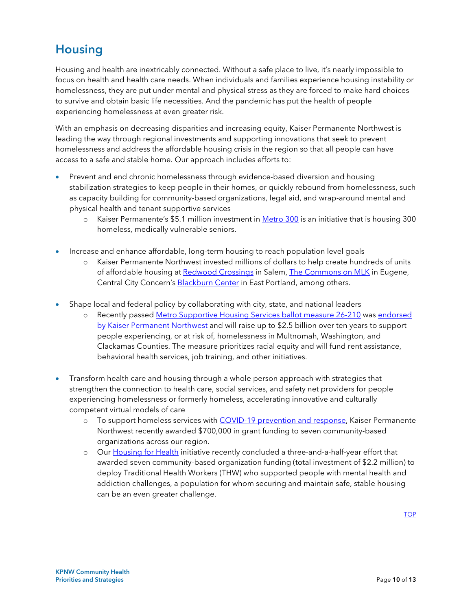### **Housing**

<span id="page-9-0"></span> homelessness, they are put under mental and physical stress as they are forced to make hard choices experiencing homelessness at even greater risk. Housing and health are inextricably connected. Without a safe place to live, it's nearly impossible to focus on health and health care needs. When individuals and families experience housing instability or to survive and obtain basic life necessities. And the pandemic has put the health of people

With an emphasis on decreasing disparities and increasing equity, Kaiser Permanente Northwest is leading the way through regional investments and supporting innovations that seek to prevent homelessness and address the affordable housing crisis in the region so that all people can have access to a safe and stable home. Our approach includes efforts to:

- • Prevent and end chronic homelessness through evidence-based diversion and housing as capacity building for community-based organizations, legal aid, and wrap-around mental and stabilization strategies to keep people in their homes, or quickly rebound from homelessness, such physical health and tenant supportive services
	- o Kaiser Permanente's \$5.1 million investment in <u>Metro 300</u> is an initiative that is housing 300 homeless, medically vulnerable seniors.
- Increase and enhance affordable, long-term housing to reach population level goals
	- o Kaiser Permanente Northwest invested millions of dollars to help create hundreds of units of affordable housing a[t Redwood Crossings](https://www.statesmanjournal.com/story/news/2020/08/10/salem-housing-authority-project-housing-homeless-oregon/3322702001/) in Salem, [The Commons on MLK](https://homesforgood.org/about/real-estate-development/projects/housing-first-on-mlk) in Eugene, Central City Concern's [Blackburn Center](https://www.centralcityconcern.org/housingishealth/blackburn) in East Portland, among others.
- Shape local and federal policy by collaborating with city, state, and national leaders
	- o Recently passed Metro [Supportive Housing Services ballot measure 26-210 w](https://www.oregonmetro.gov/public-projects/supportive-housing-services)as [endorsed](https://heretogetheroregon.org/our-partners/)  [by Kaiser Permanent Northwest](https://heretogetheroregon.org/our-partners/) and will raise up to \$2.5 billion over ten years to support people experiencing, or at risk of, homelessness in Multnomah, Washington, and Clackamas Counties. The measure prioritizes racial equity and will fund rent assistance, behavioral health services, job training, and other initiatives.
- <span id="page-9-1"></span> • Transform health care and housing through a whole person approach with strategies that competent virtual models of care strengthen the connection to health care, social services, and safety net providers for people experiencing homelessness or formerly homeless, accelerating innovative and culturally
	- o To support homeless services with [COVID-19 prevention and response,](https://about.kaiserpermanente.org/community-health/news/northwest-grants-support-homeless-services-during-covid-19) Kaiser Permanente Northwest recently awarded \$700,000 in grant funding to seven community-based organizations across our region.
	- deploy Traditional Health Workers (THW) who supported people with mental health and o Our [Housing for Health](https://youtu.be/Vhyv9ySOzPM) initiative recently concluded a three-and-a-half-year effort that awarded seven community-based organization funding (total investment of \$2.2 million) to addiction challenges, a population for whom securing and maintain safe, stable housing can be an even greater challenge.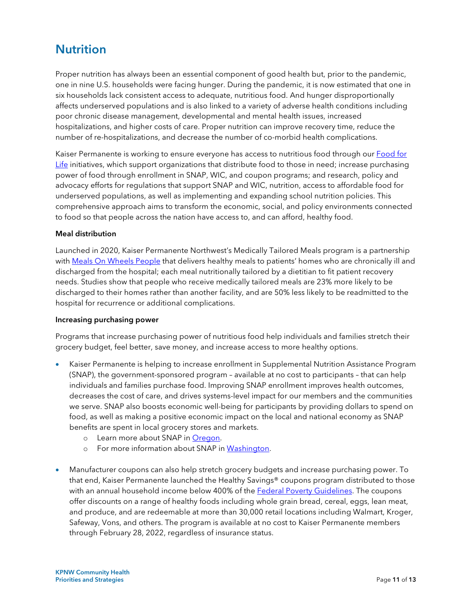### **Nutrition**

 Proper nutrition has always been an essential component of good health but, prior to the pandemic, one in nine U.S. households were facing hunger. During the pandemic, it is now estimated that one in affects underserved populations and is also linked to a variety of adverse health conditions including six households lack consistent access to adequate, nutritious food. And hunger disproportionally poor chronic disease management, developmental and mental health issues, increased hospitalizations, and higher costs of care. Proper nutrition can improve recovery time, reduce the number of re-hospitalizations, and decrease the number of co-morbid health complications.

Kaiser Permanente is working to ensure everyone has access to nutritious food through our <u>Food for</u> [Life i](https://about.kaiserpermanente.org/community-health/news/food-assistance-outreach-to-ease-covid-19-financial-strain)nitiatives, which support organizations that distribute food to those in need; increase purchasing power of food through enrollment in SNAP, WIC, and coupon programs; and research, policy and advocacy efforts for regulations that support SNAP and WIC, nutrition, access to affordable food for underserved populations, as well as implementing and expanding school nutrition policies. This comprehensive approach aims to transform the economic, social, and policy environments connected to food so that people across the nation have access to, and can afford, healthy food.

### Meal distribution

Launched in 2020, Kaiser Permanente Northwest's Medically Tailored Meals program is a partnership with [Meals On Wheels People](https://www.mowp.org/) that delivers healthy meals to patients' homes who are chronically ill and discharged from the hospital; each meal nutritionally tailored by a dietitian to fit patient recovery needs. Studies show that people who receive medically tailored meals are 23% more likely to be discharged to their homes rather than another facility, and are 50% less likely to be readmitted to the hospital for recurrence or additional complications.

#### Increasing purchasing power

 grocery budget, feel better, save money, and increase access to more healthy options. Programs that increase purchasing power of nutritious food help individuals and families stretch their

- • Kaiser Permanente is helping to increase enrollment in Supplemental Nutrition Assistance Program (SNAP), the government-sponsored program – available at no cost to participants – that can help individuals and families purchase food. Improving SNAP enrollment improves health outcomes, decreases the cost of care, and drives systems-level impact for our members and the communities we serve. SNAP also boosts economic well-being for participants by providing dollars to spend on food, as well as making a positive economic impact on the local and national economy as SNAP benefits are spent in local grocery stores and markets.
	- o Learn more about SNAP in [Oregon.](https://www.oregon.gov/dhs/ASSISTANCE/FOOD-BENEFITS/Pages/About-SNAP.aspx)
	- o For more information about SNAP in [Washington.](https://www.dshs.wa.gov/esa/community-services-offices/basic-food)
- offer discounts on a range of healthy foods including whole grain bread, cereal, eggs, lean meat, • Manufacturer coupons can also help stretch grocery budgets and increase purchasing power. To that end, Kaiser Permanente launched the Healthy Savings® coupons program distributed to those with an annual household income below 400% of the **Federal Poverty Guidelines**. The coupons and produce, and are redeemable at more than 30,000 retail locations including Walmart, Kroger, Safeway, Vons, and others. The program is available at no cost to Kaiser Permanente members through February 28, 2022, regardless of insurance status.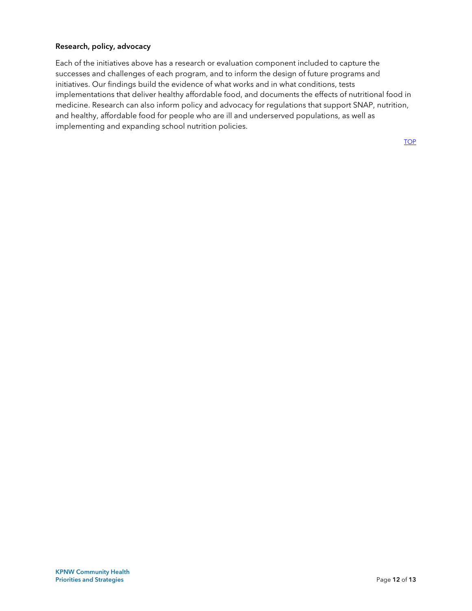### Research, policy, advocacy

 initiatives. Our findings build the evidence of what works and in what conditions, tests implementations that deliver healthy affordable food, and documents the effects of nutritional food in Each of the initiatives above has a research or evaluation component included to capture the successes and challenges of each program, and to inform the design of future programs and medicine. Research can also inform policy and advocacy for regulations that support SNAP, nutrition, and healthy, affordable food for people who are ill and underserved populations, as well as implementing and expanding school nutrition policies.